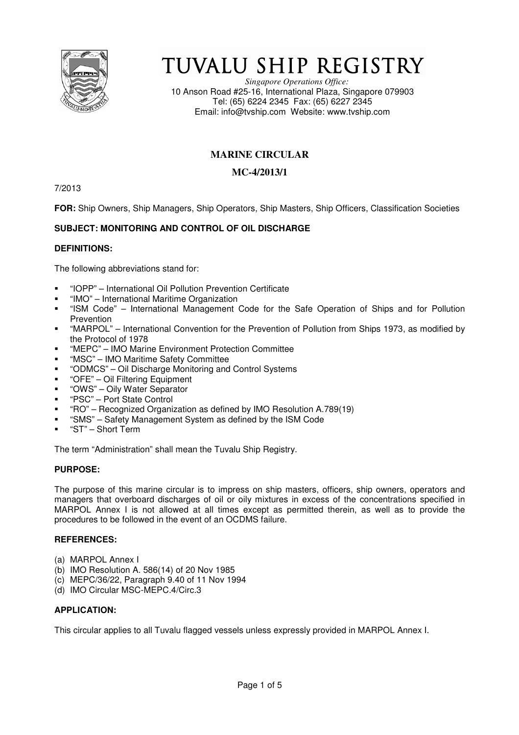

# TUVALU SHIP REGISTRY

*Singapore Operations Office:* 10 Anson Road #25-16, International Plaza, Singapore 079903 Tel: (65) 6224 2345 Fax: (65) 6227 2345 Email: info@tvship.com Website: www.tvship.com

# **MARINE CIRCULAR**

## **MC-4/2013/1**

7/2013

**FOR:** Ship Owners, Ship Managers, Ship Operators, Ship Masters, Ship Officers, Classification Societies

# **SUBJECT: MONITORING AND CONTROL OF OIL DISCHARGE**

## **DEFINITIONS:**

The following abbreviations stand for:

- "IOPP" International Oil Pollution Prevention Certificate
- "IMO" International Maritime Organization
- "ISM Code" International Management Code for the Safe Operation of Ships and for Pollution Prevention
- "MARPOL" International Convention for the Prevention of Pollution from Ships 1973, as modified by the Protocol of 1978
- "MEPC" IMO Marine Environment Protection Committee
- "MSC" IMO Maritime Safety Committee
- "ODMCS" Oil Discharge Monitoring and Control Systems
- "OFE" Oil Filtering Equipment
- "OWS" Oily Water Separator
- "PSC" Port State Control
- "RO" Recognized Organization as defined by IMO Resolution A.789(19)
- "SMS" Safety Management System as defined by the ISM Code
- "ST" Short Term

The term "Administration" shall mean the Tuvalu Ship Registry.

## **PURPOSE:**

The purpose of this marine circular is to impress on ship masters, officers, ship owners, operators and managers that overboard discharges of oil or oily mixtures in excess of the concentrations specified in MARPOL Annex I is not allowed at all times except as permitted therein, as well as to provide the procedures to be followed in the event of an OCDMS failure.

### **REFERENCES:**

- (a) MARPOL Annex I
- (b) IMO Resolution A. 586(14) of 20 Nov 1985
- (c) MEPC/36/22, Paragraph 9.40 of 11 Nov 1994
- (d) IMO Circular MSC-MEPC.4/Circ.3

## **APPLICATION:**

This circular applies to all Tuvalu flagged vessels unless expressly provided in MARPOL Annex I.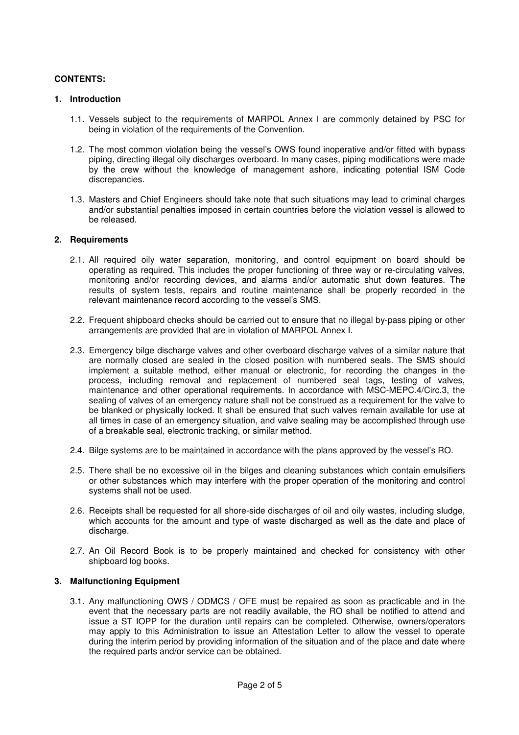## **CONTENTS:**

#### **1. Introduction**

- 1.1. Vessels subject to the requirements of MARPOL Annex I are commonly detained by PSC for being in violation of the requirements of the Convention.
- 1.2. The most common violation being the vessel's OWS found inoperative and/or fitted with bypass piping, directing illegal oily discharges overboard. In many cases, piping modifications were made by the crew without the knowledge of management ashore, indicating potential ISM Code discrepancies.
- 1.3. Masters and Chief Engineers should take note that such situations may lead to criminal charges and/or substantial penalties imposed in certain countries before the violation vessel is allowed to be released.

#### **2. Requirements**

- 2.1. All required oily water separation, monitoring, and control equipment on board should be operating as required. This includes the proper functioning of three way or re-circulating valves, monitoring and/or recording devices, and alarms and/or automatic shut down features. The results of system tests, repairs and routine maintenance shall be properly recorded in the relevant maintenance record according to the vessel's SMS.
- 2.2. Frequent shipboard checks should be carried out to ensure that no illegal by-pass piping or other arrangements are provided that are in violation of MARPOL Annex I.
- 2.3. Emergency bilge discharge valves and other overboard discharge valves of a similar nature that are normally closed are sealed in the closed position with numbered seals. The SMS should implement a suitable method, either manual or electronic, for recording the changes in the process, including removal and replacement of numbered seal tags, testing of valves, maintenance and other operational requirements. In accordance with MSC-MEPC.4/Circ.3, the sealing of valves of an emergency nature shall not be construed as a requirement for the valve to be blanked or physically locked. It shall be ensured that such valves remain available for use at all times in case of an emergency situation, and valve sealing may be accomplished through use of a breakable seal, electronic tracking, or similar method.
- 2.4. Bilge systems are to be maintained in accordance with the plans approved by the vessel's RO.
- 2.5. There shall be no excessive oil in the bilges and cleaning substances which contain emulsifiers or other substances which may interfere with the proper operation of the monitoring and control systems shall not be used.
- 2.6. Receipts shall be requested for all shore-side discharges of oil and oily wastes, including sludge, which accounts for the amount and type of waste discharged as well as the date and place of discharge.
- 2.7. An Oil Record Book is to be properly maintained and checked for consistency with other shipboard log books.

### **3. Malfunctioning Equipment**

3.1. Any malfunctioning OWS / ODMCS / OFE must be repaired as soon as practicable and in the event that the necessary parts are not readily available, the RO shall be notified to attend and issue a ST IOPP for the duration until repairs can be completed. Otherwise, owners/operators may apply to this Administration to issue an Attestation Letter to allow the vessel to operate during the interim period by providing information of the situation and of the place and date where the required parts and/or service can be obtained.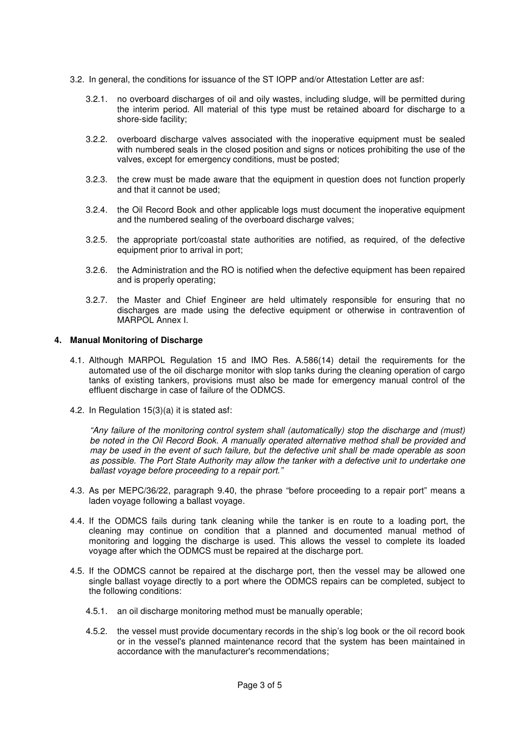- 3.2. In general, the conditions for issuance of the ST IOPP and/or Attestation Letter are asf:
	- 3.2.1. no overboard discharges of oil and oily wastes, including sludge, will be permitted during the interim period. All material of this type must be retained aboard for discharge to a shore-side facility;
	- 3.2.2. overboard discharge valves associated with the inoperative equipment must be sealed with numbered seals in the closed position and signs or notices prohibiting the use of the valves, except for emergency conditions, must be posted;
	- 3.2.3. the crew must be made aware that the equipment in question does not function properly and that it cannot be used;
	- 3.2.4. the Oil Record Book and other applicable logs must document the inoperative equipment and the numbered sealing of the overboard discharge valves;
	- 3.2.5. the appropriate port/coastal state authorities are notified, as required, of the defective equipment prior to arrival in port;
	- 3.2.6. the Administration and the RO is notified when the defective equipment has been repaired and is properly operating;
	- 3.2.7. the Master and Chief Engineer are held ultimately responsible for ensuring that no discharges are made using the defective equipment or otherwise in contravention of MARPOL Annex I.

### **4. Manual Monitoring of Discharge**

- 4.1. Although MARPOL Regulation 15 and IMO Res. A.586(14) detail the requirements for the automated use of the oil discharge monitor with slop tanks during the cleaning operation of cargo tanks of existing tankers, provisions must also be made for emergency manual control of the effluent discharge in case of failure of the ODMCS.
- 4.2. In Regulation 15(3)(a) it is stated asf:

"Any failure of the monitoring control system shall (automatically) stop the discharge and (must) be noted in the Oil Record Book. A manually operated alternative method shall be provided and may be used in the event of such failure, but the defective unit shall be made operable as soon as possible. The Port State Authority may allow the tanker with a defective unit to undertake one ballast voyage before proceeding to a repair port."

- 4.3. As per MEPC/36/22, paragraph 9.40, the phrase "before proceeding to a repair port" means a laden voyage following a ballast voyage.
- 4.4. If the ODMCS fails during tank cleaning while the tanker is en route to a loading port, the cleaning may continue on condition that a planned and documented manual method of monitoring and logging the discharge is used. This allows the vessel to complete its loaded voyage after which the ODMCS must be repaired at the discharge port.
- 4.5. If the ODMCS cannot be repaired at the discharge port, then the vessel may be allowed one single ballast voyage directly to a port where the ODMCS repairs can be completed, subject to the following conditions:
	- 4.5.1. an oil discharge monitoring method must be manually operable;
	- 4.5.2. the vessel must provide documentary records in the ship's log book or the oil record book or in the vessel's planned maintenance record that the system has been maintained in accordance with the manufacturer's recommendations;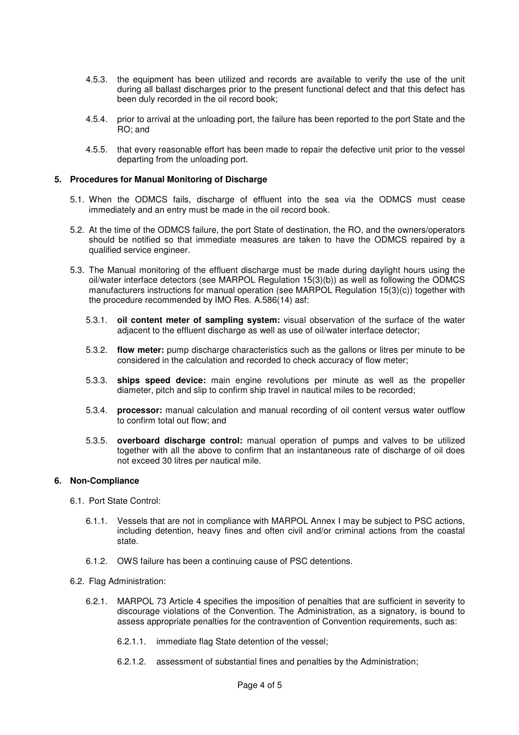- 4.5.3. the equipment has been utilized and records are available to verify the use of the unit during all ballast discharges prior to the present functional defect and that this defect has been duly recorded in the oil record book;
- 4.5.4. prior to arrival at the unloading port, the failure has been reported to the port State and the RO; and
- 4.5.5. that every reasonable effort has been made to repair the defective unit prior to the vessel departing from the unloading port.

#### **5. Procedures for Manual Monitoring of Discharge**

- 5.1. When the ODMCS fails, discharge of effluent into the sea via the ODMCS must cease immediately and an entry must be made in the oil record book.
- 5.2. At the time of the ODMCS failure, the port State of destination, the RO, and the owners/operators should be notified so that immediate measures are taken to have the ODMCS repaired by a qualified service engineer.
- 5.3. The Manual monitoring of the effluent discharge must be made during daylight hours using the oil/water interface detectors (see MARPOL Regulation 15(3)(b)) as well as following the ODMCS manufacturers instructions for manual operation (see MARPOL Regulation 15(3)(c)) together with the procedure recommended by IMO Res. A.586(14) asf:
	- 5.3.1. **oil content meter of sampling system:** visual observation of the surface of the water adjacent to the effluent discharge as well as use of oil/water interface detector;
	- 5.3.2. **flow meter:** pump discharge characteristics such as the gallons or litres per minute to be considered in the calculation and recorded to check accuracy of flow meter;
	- 5.3.3. **ships speed device:** main engine revolutions per minute as well as the propeller diameter, pitch and slip to confirm ship travel in nautical miles to be recorded;
	- 5.3.4. **processor:** manual calculation and manual recording of oil content versus water outflow to confirm total out flow; and
	- 5.3.5. **overboard discharge control:** manual operation of pumps and valves to be utilized together with all the above to confirm that an instantaneous rate of discharge of oil does not exceed 30 litres per nautical mile.

### **6. Non-Compliance**

- 6.1. Port State Control:
	- 6.1.1. Vessels that are not in compliance with MARPOL Annex I may be subject to PSC actions, including detention, heavy fines and often civil and/or criminal actions from the coastal state.
	- 6.1.2. OWS failure has been a continuing cause of PSC detentions.

#### 6.2. Flag Administration:

- 6.2.1. MARPOL 73 Article 4 specifies the imposition of penalties that are sufficient in severity to discourage violations of the Convention. The Administration, as a signatory, is bound to assess appropriate penalties for the contravention of Convention requirements, such as:
	- 6.2.1.1. immediate flag State detention of the vessel;
	- 6.2.1.2. assessment of substantial fines and penalties by the Administration;